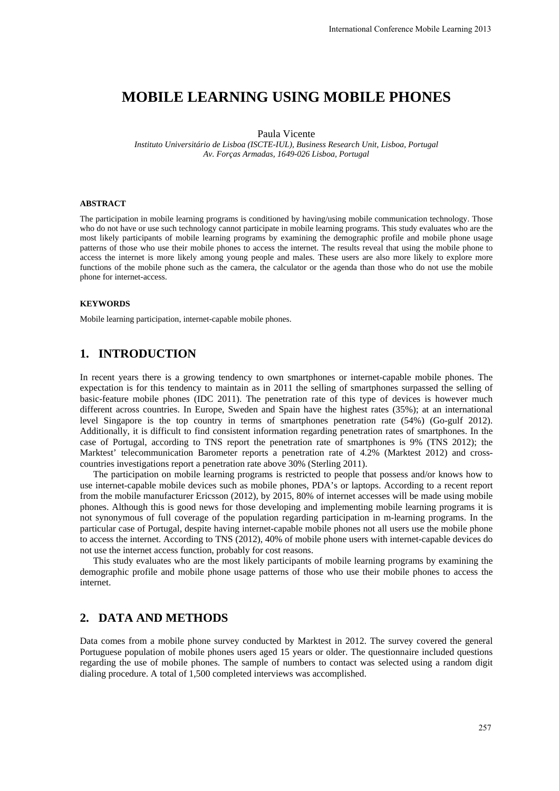# **MOBILE LEARNING USING MOBILE PHONES**

Paula Vicente

*Instituto Universitário de Lisboa (ISCTE-IUL), Business Research Unit, Lisboa, Portugal Av. Forças Armadas, 1649-026 Lisboa, Portugal* 

#### **ABSTRACT**

The participation in mobile learning programs is conditioned by having/using mobile communication technology. Those who do not have or use such technology cannot participate in mobile learning programs. This study evaluates who are the most likely participants of mobile learning programs by examining the demographic profile and mobile phone usage patterns of those who use their mobile phones to access the internet. The results reveal that using the mobile phone to access the internet is more likely among young people and males. These users are also more likely to explore more functions of the mobile phone such as the camera, the calculator or the agenda than those who do not use the mobile phone for internet-access.

#### **KEYWORDS**

Mobile learning participation, internet-capable mobile phones.

# **1. INTRODUCTION**

In recent years there is a growing tendency to own smartphones or internet-capable mobile phones. The expectation is for this tendency to maintain as in 2011 the selling of smartphones surpassed the selling of basic-feature mobile phones (IDC 2011). The penetration rate of this type of devices is however much different across countries. In Europe, Sweden and Spain have the highest rates (35%); at an international level Singapore is the top country in terms of smartphones penetration rate (54%) (Go-gulf 2012). Additionally, it is difficult to find consistent information regarding penetration rates of smartphones. In the case of Portugal, according to TNS report the penetration rate of smartphones is 9% (TNS 2012); the Marktest' telecommunication Barometer reports a penetration rate of 4.2% (Marktest 2012) and crosscountries investigations report a penetration rate above 30% (Sterling 2011).

The participation on mobile learning programs is restricted to people that possess and/or knows how to use internet-capable mobile devices such as mobile phones, PDA's or laptops. According to a recent report from the mobile manufacturer Ericsson (2012), by 2015, 80% of internet accesses will be made using mobile phones. Although this is good news for those developing and implementing mobile learning programs it is not synonymous of full coverage of the population regarding participation in m-learning programs. In the particular case of Portugal, despite having internet-capable mobile phones not all users use the mobile phone to access the internet. According to TNS (2012), 40% of mobile phone users with internet-capable devices do not use the internet access function, probably for cost reasons.

This study evaluates who are the most likely participants of mobile learning programs by examining the demographic profile and mobile phone usage patterns of those who use their mobile phones to access the internet.

### **2. DATA AND METHODS**

Data comes from a mobile phone survey conducted by Marktest in 2012. The survey covered the general Portuguese population of mobile phones users aged 15 years or older. The questionnaire included questions regarding the use of mobile phones. The sample of numbers to contact was selected using a random digit dialing procedure. A total of 1,500 completed interviews was accomplished.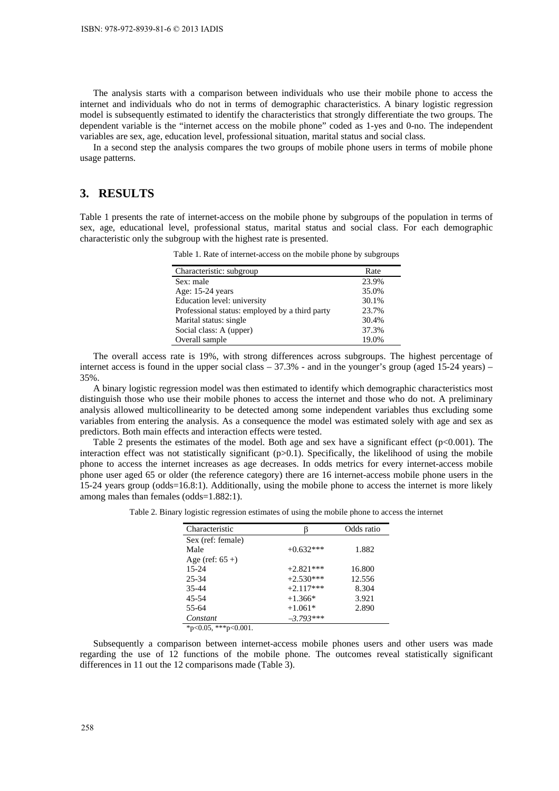The analysis starts with a comparison between individuals who use their mobile phone to access the internet and individuals who do not in terms of demographic characteristics. A binary logistic regression model is subsequently estimated to identify the characteristics that strongly differentiate the two groups. The dependent variable is the "internet access on the mobile phone" coded as 1-yes and 0-no. The independent variables are sex, age, education level, professional situation, marital status and social class.

In a second step the analysis compares the two groups of mobile phone users in terms of mobile phone usage patterns.

### **3. RESULTS**

Table 1 presents the rate of internet-access on the mobile phone by subgroups of the population in terms of sex, age, educational level, professional status, marital status and social class. For each demographic characteristic only the subgroup with the highest rate is presented.

|  | Table 1. Rate of internet-access on the mobile phone by subgroups |  |  |  |
|--|-------------------------------------------------------------------|--|--|--|
|  |                                                                   |  |  |  |

| Characteristic: subgroup                       | Rate  |
|------------------------------------------------|-------|
| Sex: male                                      | 23.9% |
| Age: 15-24 years                               | 35.0% |
| Education level: university                    | 30.1% |
| Professional status: employed by a third party | 23.7% |
| Marital status: single                         | 30.4% |
| Social class: A (upper)                        | 37.3% |
| Overall sample                                 | 19.0% |

The overall access rate is 19%, with strong differences across subgroups. The highest percentage of internet access is found in the upper social class – 37.3% - and in the younger's group (aged 15-24 years) – 35%.

A binary logistic regression model was then estimated to identify which demographic characteristics most distinguish those who use their mobile phones to access the internet and those who do not. A preliminary analysis allowed multicollinearity to be detected among some independent variables thus excluding some variables from entering the analysis. As a consequence the model was estimated solely with age and sex as predictors. Both main effects and interaction effects were tested.

Table 2 presents the estimates of the model. Both age and sex have a significant effect  $(p<0.001)$ . The interaction effect was not statistically significant  $(p>0.1)$ . Specifically, the likelihood of using the mobile phone to access the internet increases as age decreases. In odds metrics for every internet-access mobile phone user aged 65 or older (the reference category) there are 16 internet-access mobile phone users in the 15-24 years group (odds=16.8:1). Additionally, using the mobile phone to access the internet is more likely among males than females (odds=1.882:1).

Table 2. Binary logistic regression estimates of using the mobile phone to access the internet

| Characteristic     |             | Odds ratio |  |
|--------------------|-------------|------------|--|
| Sex (ref: female)  |             |            |  |
| Male               | $+0.632***$ | 1.882      |  |
| Age (ref: $65 +$ ) |             |            |  |
| 15-24              | $+2.821***$ | 16.800     |  |
| 25-34              | $+2.530***$ | 12.556     |  |
| $35 - 44$          | $+2.117***$ | 8.304      |  |
| 45-54              | $+1.366*$   | 3.921      |  |
| 55-64              | $+1.061*$   | 2.890      |  |
| Constant           | $-3.793***$ |            |  |

 $*_{p<0.05}$ ,  $*_{p<0.001}$ .

Subsequently a comparison between internet-access mobile phones users and other users was made regarding the use of 12 functions of the mobile phone. The outcomes reveal statistically significant differences in 11 out the 12 comparisons made (Table 3).